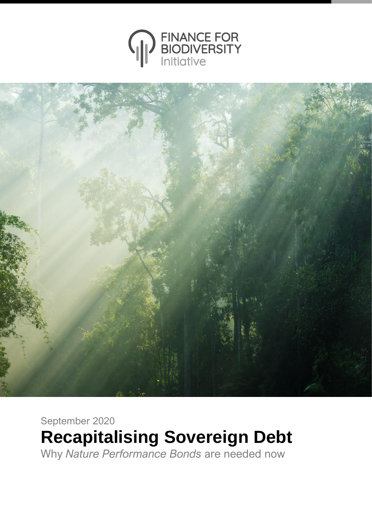



September 2020 **Recapitalising Sovereign Debt** Why *Nature Performance Bonds* are needed now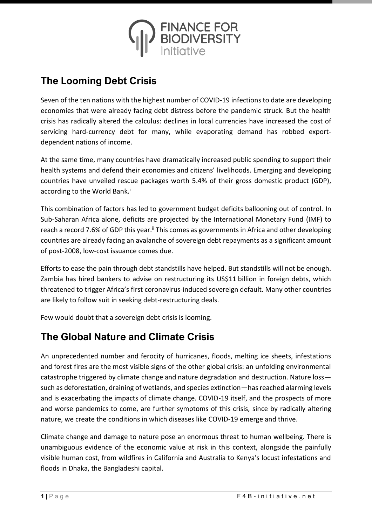

# **The Looming Debt Crisis**

Seven of the ten nations with the highest number of COVID-19 infections to date are developing economies that were already facing debt distress before the pandemic struck. But the health crisis has radically altered the calculus: declines in local currencies have increased the cost of servicing hard-currency debt for many, while evaporating demand has robbed exportdependent nations of income.

At the same time, many countries have dramatically increased public spending to support their health systems and defend their economies and citizens' livelihoods. Emerging and developing countries have unveiled rescue packages worth 5.4% of their gross domestic product (GDP), according to the World Bank.<sup>i</sup>

This combination of factors has led to government budget deficits ballooning out of control. In Sub-Saharan Africa alone, deficits are projected by the International Monetary Fund (IMF) to reach a record 7.6% of GDP this year.<sup>ii</sup> This comes as governments in Africa and other developing countries are already facing an avalanche of sovereign debt repayments as a significant amount of post-2008, low-cost issuance comes due.

Efforts to ease the pain through debt standstills have helped. But standstills will not be enough. Zambia has hired bankers to advise on restructuring its US\$11 billion in foreign debts, which threatened to trigger Africa's first coronavirus-induced sovereign default. Many other countries are likely to follow suit in seeking debt-restructuring deals.

Few would doubt that a sovereign debt crisis is looming.

# **The Global Nature and Climate Crisis**

An unprecedented number and ferocity of hurricanes, floods, melting ice sheets, infestations and forest fires are the most visible signs of the other global crisis: an unfolding environmental catastrophe triggered by climate change and nature degradation and destruction. Nature loss such as deforestation, draining of wetlands, and species extinction—has reached alarming levels and is exacerbating the impacts of climate change. COVID-19 itself, and the prospects of more and worse pandemics to come, are further symptoms of this crisis, since by radically altering nature, we create the conditions in which diseases like COVID-19 emerge and thrive.

Climate change and damage to nature pose an enormous threat to human wellbeing. There is unambiguous evidence of the economic value at risk in this context, alongside the painfully visible human cost, from wildfires in California and Australia to Kenya's locust infestations and floods in Dhaka, the Bangladeshi capital.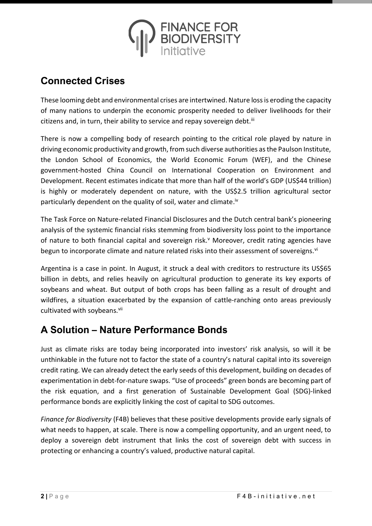

## **Connected Crises**

These looming debt and environmental crises are intertwined. Nature loss is eroding the capacity of many nations to underpin the economic prosperity needed to deliver livelihoods for their citizens and, in turn, their ability to service and repay sovereign debt.<sup>iii</sup>

There is now a compelling body of research pointing to the critical role played by nature in driving economic productivity and growth, from such diverse authorities as the Paulson Institute, the London School of Economics, the World Economic Forum (WEF), and the Chinese government-hosted China Council on International Cooperation on Environment and Development. Recent estimates indicate that more than half of the world's GDP (US\$44 trillion) is highly or moderately dependent on nature, with the US\$2.5 trillion agricultural sector particularly dependent on the quality of soil, water and climate.<sup>iv</sup>

The Task Force on Nature-related Financial Disclosures and the Dutch central bank's pioneering analysis of the systemic financial risks stemming from biodiversity loss point to the importance of nature to both financial capital and sovereign risk.<sup>v</sup> Moreover, credit rating agencies have begun to incorporate climate and nature related risks into their assessment of sovereigns.<sup>vi</sup>

Argentina is a case in point. In August, it struck a deal with creditors to restructure its US\$65 billion in debts, and relies heavily on agricultural production to generate its key exports of soybeans and wheat. But output of both crops has been falling as a result of drought and wildfires, a situation exacerbated by the expansion of cattle-ranching onto areas previously cultivated with soybeans.<sup>vii</sup>

## **A Solution – Nature Performance Bonds**

Just as climate risks are today being incorporated into investors' risk analysis, so will it be unthinkable in the future not to factor the state of a country's natural capital into its sovereign credit rating. We can already detect the early seeds of this development, building on decades of experimentation in debt-for-nature swaps. "Use of proceeds" green bonds are becoming part of the risk equation, and a first generation of Sustainable Development Goal (SDG)-linked performance bonds are explicitly linking the cost of capital to SDG outcomes.

*Finance for Biodiversity* (F4B) believes that these positive developments provide early signals of what needs to happen, at scale. There is now a compelling opportunity, and an urgent need, to deploy a sovereign debt instrument that links the cost of sovereign debt with success in protecting or enhancing a country's valued, productive natural capital.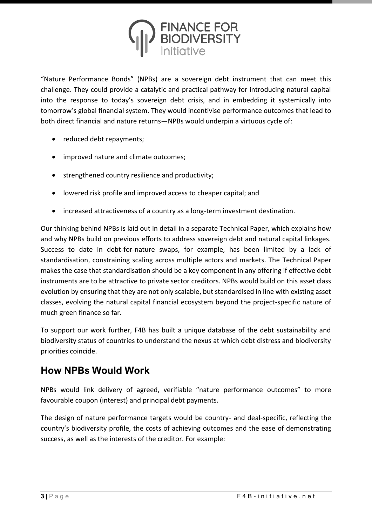

"Nature Performance Bonds" (NPBs) are a sovereign debt instrument that can meet this challenge. They could provide a catalytic and practical pathway for introducing natural capital into the response to today's sovereign debt crisis, and in embedding it systemically into tomorrow's global financial system. They would incentivise performance outcomes that lead to both direct financial and nature returns—NPBs would underpin a virtuous cycle of:

- reduced debt repayments;
- improved nature and climate outcomes;
- strengthened country resilience and productivity;
- lowered risk profile and improved access to cheaper capital; and
- increased attractiveness of a country as a long-term investment destination.

Our thinking behind NPBs is laid out in detail in a separate Technical Paper, which explains how and why NPBs build on previous efforts to address sovereign debt and natural capital linkages. Success to date in debt-for-nature swaps, for example, has been limited by a lack of standardisation, constraining scaling across multiple actors and markets. The Technical Paper makes the case that standardisation should be a key component in any offering if effective debt instruments are to be attractive to private sector creditors. NPBs would build on this asset class evolution by ensuring that they are not only scalable, but standardised in line with existing asset classes, evolving the natural capital financial ecosystem beyond the project-specific nature of much green finance so far.

To support our work further, F4B has built a unique database of the debt sustainability and biodiversity status of countries to understand the nexus at which debt distress and biodiversity priorities coincide.

## **How NPBs Would Work**

NPBs would link delivery of agreed, verifiable "nature performance outcomes" to more favourable coupon (interest) and principal debt payments.

The design of nature performance targets would be country- and deal-specific, reflecting the country's biodiversity profile, the costs of achieving outcomes and the ease of demonstrating success, as well as the interests of the creditor. For example: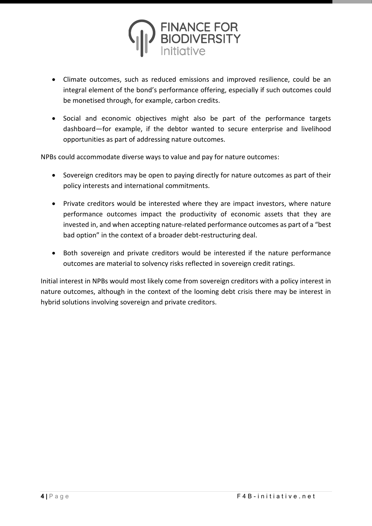

- Climate outcomes, such as reduced emissions and improved resilience, could be an integral element of the bond's performance offering, especially if such outcomes could be monetised through, for example, carbon credits.
- Social and economic objectives might also be part of the performance targets dashboard—for example, if the debtor wanted to secure enterprise and livelihood opportunities as part of addressing nature outcomes.

NPBs could accommodate diverse ways to value and pay for nature outcomes:

- Sovereign creditors may be open to paying directly for nature outcomes as part of their policy interests and international commitments.
- Private creditors would be interested where they are impact investors, where nature performance outcomes impact the productivity of economic assets that they are invested in, and when accepting nature-related performance outcomes as part of a "best bad option" in the context of a broader debt-restructuring deal.
- Both sovereign and private creditors would be interested if the nature performance outcomes are material to solvency risks reflected in sovereign credit ratings.

Initial interest in NPBs would most likely come from sovereign creditors with a policy interest in nature outcomes, although in the context of the looming debt crisis there may be interest in hybrid solutions involving sovereign and private creditors.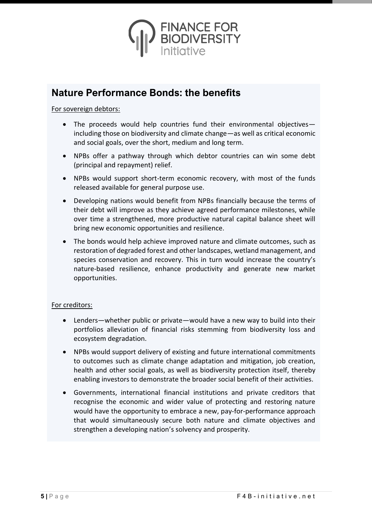

### **Nature Performance Bonds: the benefits**

#### For sovereign debtors:

- The proceeds would help countries fund their environmental objectives including those on biodiversity and climate change—as well as critical economic and social goals, over the short, medium and long term.
- NPBs offer a pathway through which debtor countries can win some debt (principal and repayment) relief.
- NPBs would support short-term economic recovery, with most of the funds released available for general purpose use.
- Developing nations would benefit from NPBs financially because the terms of their debt will improve as they achieve agreed performance milestones, while over time a strengthened, more productive natural capital balance sheet will bring new economic opportunities and resilience.
- The bonds would help achieve improved nature and climate outcomes, such as restoration of degraded forest and other landscapes, wetland management, and species conservation and recovery. This in turn would increase the country's nature-based resilience, enhance productivity and generate new market opportunities.

#### For creditors:

- Lenders—whether public or private—would have a new way to build into their portfolios alleviation of financial risks stemming from biodiversity loss and ecosystem degradation.
- NPBs would support delivery of existing and future international commitments to outcomes such as climate change adaptation and mitigation, job creation, health and other social goals, as well as biodiversity protection itself, thereby enabling investors to demonstrate the broader social benefit of their activities.
- Governments, international financial institutions and private creditors that recognise the economic and wider value of protecting and restoring nature would have the opportunity to embrace a new, pay-for-performance approach that would simultaneously secure both nature and climate objectives and strengthen a developing nation's solvency and prosperity.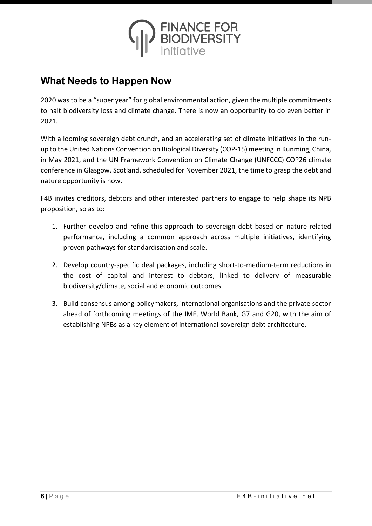

## **What Needs to Happen Now**

2020 was to be a "super year" for global environmental action, given the multiple commitments to halt biodiversity loss and climate change. There is now an opportunity to do even better in 2021.

With a looming sovereign debt crunch, and an accelerating set of climate initiatives in the runup to the United Nations Convention on Biological Diversity (COP-15) meeting in Kunming, China, in May 2021, and the UN Framework Convention on Climate Change (UNFCCC) COP26 climate conference in Glasgow, Scotland, scheduled for November 2021, the time to grasp the debt and nature opportunity is now.

F4B invites creditors, debtors and other interested partners to engage to help shape its NPB proposition, so as to:

- 1. Further develop and refine this approach to sovereign debt based on nature-related performance, including a common approach across multiple initiatives, identifying proven pathways for standardisation and scale.
- 2. Develop country-specific deal packages, including short-to-medium-term reductions in the cost of capital and interest to debtors, linked to delivery of measurable biodiversity/climate, social and economic outcomes.
- 3. Build consensus among policymakers, international organisations and the private sector ahead of forthcoming meetings of the IMF, World Bank, G7 and G20, with the aim of establishing NPBs as a key element of international sovereign debt architecture.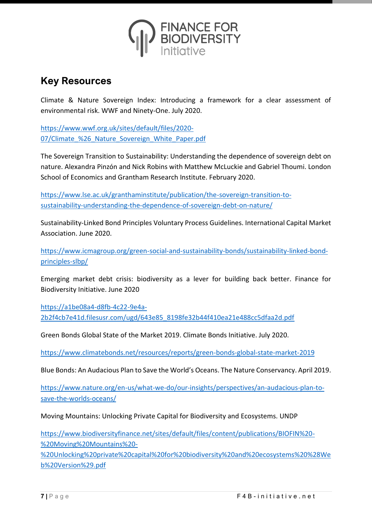

### **Key Resources**

Climate & Nature Sovereign Index: Introducing a framework for a clear assessment of environmental risk. WWF and Ninety-One. July 2020.

[https://www.wwf.org.uk/sites/default/files/2020-](https://www.wwf.org.uk/sites/default/files/2020-07/Climate_%26_Nature_Sovereign_White_Paper.pdf) 07/Climate %26 Nature Sovereign White Paper.pdf

The Sovereign Transition to Sustainability: Understanding the dependence of sovereign debt on nature. Alexandra Pinzón and Nick Robins with Matthew McLuckie and Gabriel Thoumi. London School of Economics and Grantham Research Institute. February 2020.

[https://www.lse.ac.uk/granthaminstitute/publication/the-sovereign-transition-to](https://www.lse.ac.uk/granthaminstitute/publication/the-sovereign-transition-to-sustainability-understanding-the-dependence-of-sovereign-debt-on-nature/)[sustainability-understanding-the-dependence-of-sovereign-debt-on-nature/](https://www.lse.ac.uk/granthaminstitute/publication/the-sovereign-transition-to-sustainability-understanding-the-dependence-of-sovereign-debt-on-nature/)

Sustainability-Linked Bond Principles Voluntary Process Guidelines. International Capital Market Association. June 2020.

[https://www.icmagroup.org/green-social-and-sustainability-bonds/sustainability-linked-bond](https://www.icmagroup.org/green-social-and-sustainability-bonds/sustainability-linked-bond-principles-slbp/)[principles-slbp/](https://www.icmagroup.org/green-social-and-sustainability-bonds/sustainability-linked-bond-principles-slbp/)

Emerging market debt crisis: biodiversity as a lever for building back better. Finance for Biodiversity Initiative. June 2020

[https://a1be08a4-d8fb-4c22-9e4a-](https://a1be08a4-d8fb-4c22-9e4a-2b2f4cb7e41d.filesusr.com/ugd/643e85_8198fe32b44f410ea21e488cc5dfaa2d.pdf)[2b2f4cb7e41d.filesusr.com/ugd/643e85\\_8198fe32b44f410ea21e488cc5dfaa2d.pdf](https://a1be08a4-d8fb-4c22-9e4a-2b2f4cb7e41d.filesusr.com/ugd/643e85_8198fe32b44f410ea21e488cc5dfaa2d.pdf)

Green Bonds Global State of the Market 2019. Climate Bonds Initiative. July 2020.

<https://www.climatebonds.net/resources/reports/green-bonds-global-state-market-2019>

Blue Bonds: An Audacious Plan to Save the World's Oceans. The Nature Conservancy. April 2019.

[https://www.nature.org/en-us/what-we-do/our-insights/perspectives/an-audacious-plan-to](https://www.nature.org/en-us/what-we-do/our-insights/perspectives/an-audacious-plan-to-save-the-worlds-oceans/)[save-the-worlds-oceans/](https://www.nature.org/en-us/what-we-do/our-insights/perspectives/an-audacious-plan-to-save-the-worlds-oceans/)

Moving Mountains: Unlocking Private Capital for Biodiversity and Ecosystems. UNDP

[https://www.biodiversityfinance.net/sites/default/files/content/publications/BIOFIN%20-](https://www.biodiversityfinance.net/sites/default/files/content/publications/BIOFIN%20-%20Moving%20Mountains%20-%20Unlocking%20private%20capital%20for%20biodiversity%20and%20ecosystems%20%28Web%20Version%29.pdf) [%20Moving%20Mountains%20-](https://www.biodiversityfinance.net/sites/default/files/content/publications/BIOFIN%20-%20Moving%20Mountains%20-%20Unlocking%20private%20capital%20for%20biodiversity%20and%20ecosystems%20%28Web%20Version%29.pdf)

[%20Unlocking%20private%20capital%20for%20biodiversity%20and%20ecosystems%20%28We](https://www.biodiversityfinance.net/sites/default/files/content/publications/BIOFIN%20-%20Moving%20Mountains%20-%20Unlocking%20private%20capital%20for%20biodiversity%20and%20ecosystems%20%28Web%20Version%29.pdf) [b%20Version%29.pdf](https://www.biodiversityfinance.net/sites/default/files/content/publications/BIOFIN%20-%20Moving%20Mountains%20-%20Unlocking%20private%20capital%20for%20biodiversity%20and%20ecosystems%20%28Web%20Version%29.pdf)